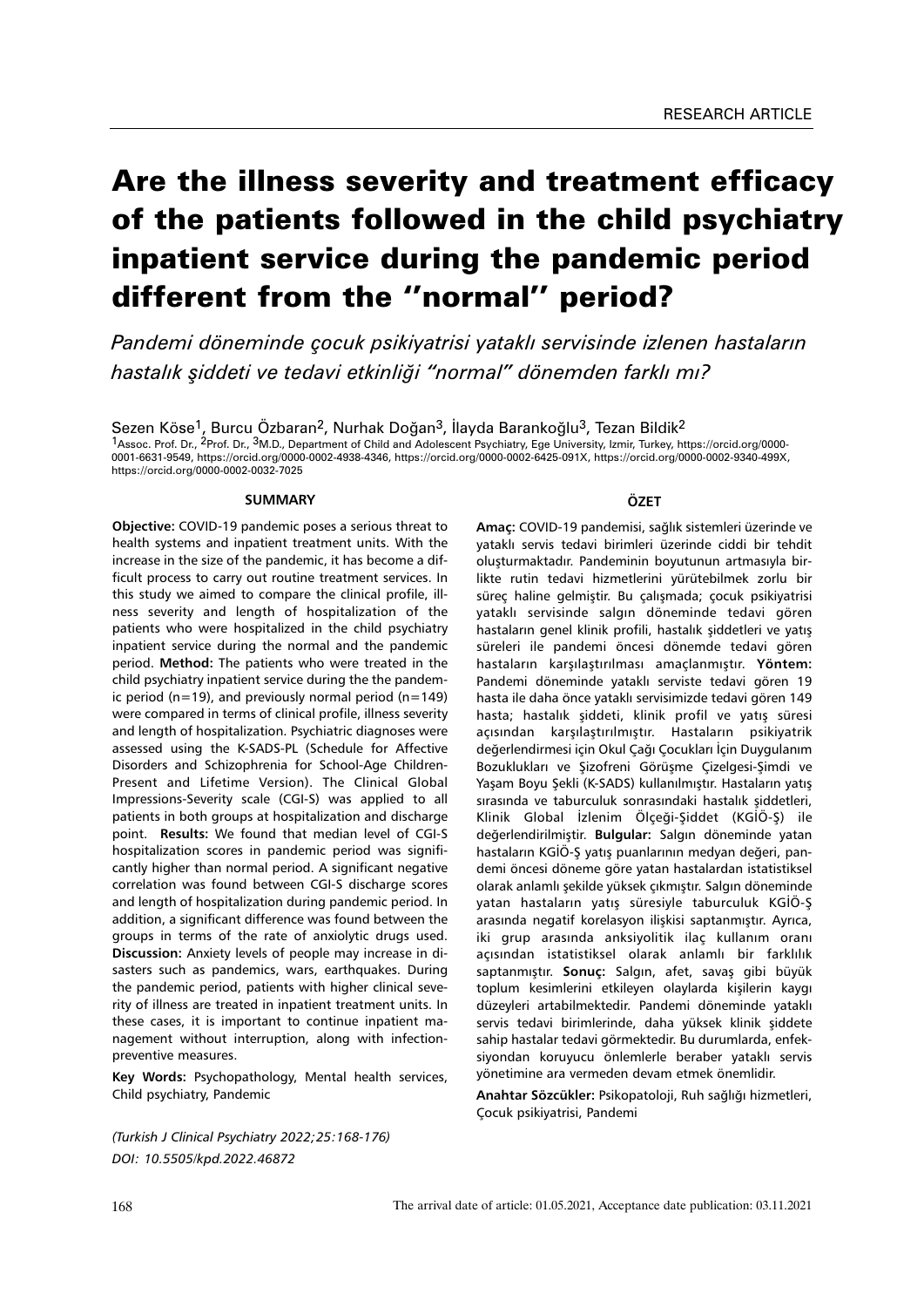# Are the illness severity and treatment efficacy of the patients followed in the child psychiatry inpatient service during the pandemic period different from the ''normal'' period?

*Pandemi döneminde çocuk psikiyatrisi yataklı servisinde izlenen hastaların hastalık şiddeti ve tedavi etkinliği "normal" dönemden farklı mı?*

Sezen Köse<sup>1</sup>, Burcu Özbaran<sup>2</sup>, Nurhak Doğan<sup>3</sup>, İlayda Barankoğlu<sup>3</sup>, Tezan Bildik<sup>2</sup> 1Assoc. Prof. Dr., 2Prof. Dr., 3M.D., Department of Child and Adolescent Psychiatry, Ege University, Izmir, Turkey, https://orcid.org/0000- 0001-6631-9549, https://orcid.org/0000-0002-4938-4346, https://orcid.org/0000-0002-6425-091X, https://orcid.org/0000-0002-9340-499X, https://orcid.org/0000-0002-0032-7025

#### **SUMMARY**

**Objective:** COVID-19 pandemic poses a serious threat to health systems and inpatient treatment units. With the increase in the size of the pandemic, it has become a difficult process to carry out routine treatment services. In this study we aimed to compare the clinical profile, illness severity and length of hospitalization of the patients who were hospitalized in the child psychiatry inpatient service during the normal and the pandemic period. **Method:** The patients who were treated in the child psychiatry inpatient service during the the pandemic period ( $n=19$ ), and previously normal period ( $n=149$ ) were compared in terms of clinical profile, illness severity and length of hospitalization. Psychiatric diagnoses were assessed using the K-SADS-PL (Schedule for Affective Disorders and Schizophrenia for School-Age Children-Present and Lifetime Version). The Clinical Global Impressions-Severity scale (CGI-S) was applied to all patients in both groups at hospitalization and discharge point. **Results:** We found that median level of CGI-S hospitalization scores in pandemic period was significantly higher than normal period. A significant negative correlation was found between CGI-S discharge scores and length of hospitalization during pandemic period. In addition, a significant difference was found between the groups in terms of the rate of anxiolytic drugs used. **Discussion:** Anxiety levels of people may increase in disasters such as pandemics, wars, earthquakes. During the pandemic period, patients with higher clinical severity of illness are treated in inpatient treatment units. In these cases, it is important to continue inpatient management without interruption, along with infectionpreventive measures.

**Key Words:** Psychopathology, Mental health services, Child psychiatry, Pandemic

*(Turkish J Clinical Psychiatry 2022;25:168-176) DOI: 10.5505/kpd.2022.46872*

#### **ÖZET**

**Amaç:** COVID-19 pandemisi, sağlık sistemleri üzerinde ve yataklı servis tedavi birimleri üzerinde ciddi bir tehdit oluşturmaktadır. Pandeminin boyutunun artmasıyla birlikte rutin tedavi hizmetlerini yürütebilmek zorlu bir süreç haline gelmiştir. Bu çalışmada; çocuk psikiyatrisi yataklı servisinde salgın döneminde tedavi gören hastaların genel klinik profili, hastalık şiddetleri ve yatış süreleri ile pandemi öncesi dönemde tedavi gören hastaların karşılaştırılması amaçlanmıştır. **Yöntem:**  Pandemi döneminde yataklı serviste tedavi gören 19 hasta ile daha önce yataklı servisimizde tedavi gören 149 hasta; hastalık şiddeti, klinik profil ve yatış süresi açısından karşılaştırılmıştır. Hastaların psikiyatrik değerlendirmesi için Okul Çağı Çocukları İçin Duygulanım Bozuklukları ve Şizofreni Görüşme Çizelgesi-Şimdi ve Yaşam Boyu Şekli (K-SADS) kullanılmıştır. Hastaların yatış sırasında ve taburculuk sonrasındaki hastalık şiddetleri, Klinik Global İzlenim Ölçeği-Şiddet (KGİÖ-Ş) ile değerlendirilmiştir. **Bulgular:** Salgın döneminde yatan hastaların KGİÖ-Ş yatış puanlarının medyan değeri, pandemi öncesi döneme göre yatan hastalardan istatistiksel olarak anlamlı şekilde yüksek çıkmıştır. Salgın döneminde yatan hastaların yatış süresiyle taburculuk KGİÖ-Ş arasında negatif korelasyon ilişkisi saptanmıştır. Ayrıca, iki grup arasında anksiyolitik ilaç kullanım oranı açısından istatistiksel olarak anlamlı bir farklılık saptanmıştır. **Sonuç:** Salgın, afet, savaş gibi büyük toplum kesimlerini etkileyen olaylarda kişilerin kaygı düzeyleri artabilmektedir. Pandemi döneminde yataklı servis tedavi birimlerinde, daha yüksek klinik şiddete sahip hastalar tedavi görmektedir. Bu durumlarda, enfeksiyondan koruyucu önlemlerle beraber yataklı servis yönetimine ara vermeden devam etmek önemlidir.

**Anahtar Sözcükler:** Psikopatoloji, Ruh sağlığı hizmetleri, Çocuk psikiyatrisi, Pandemi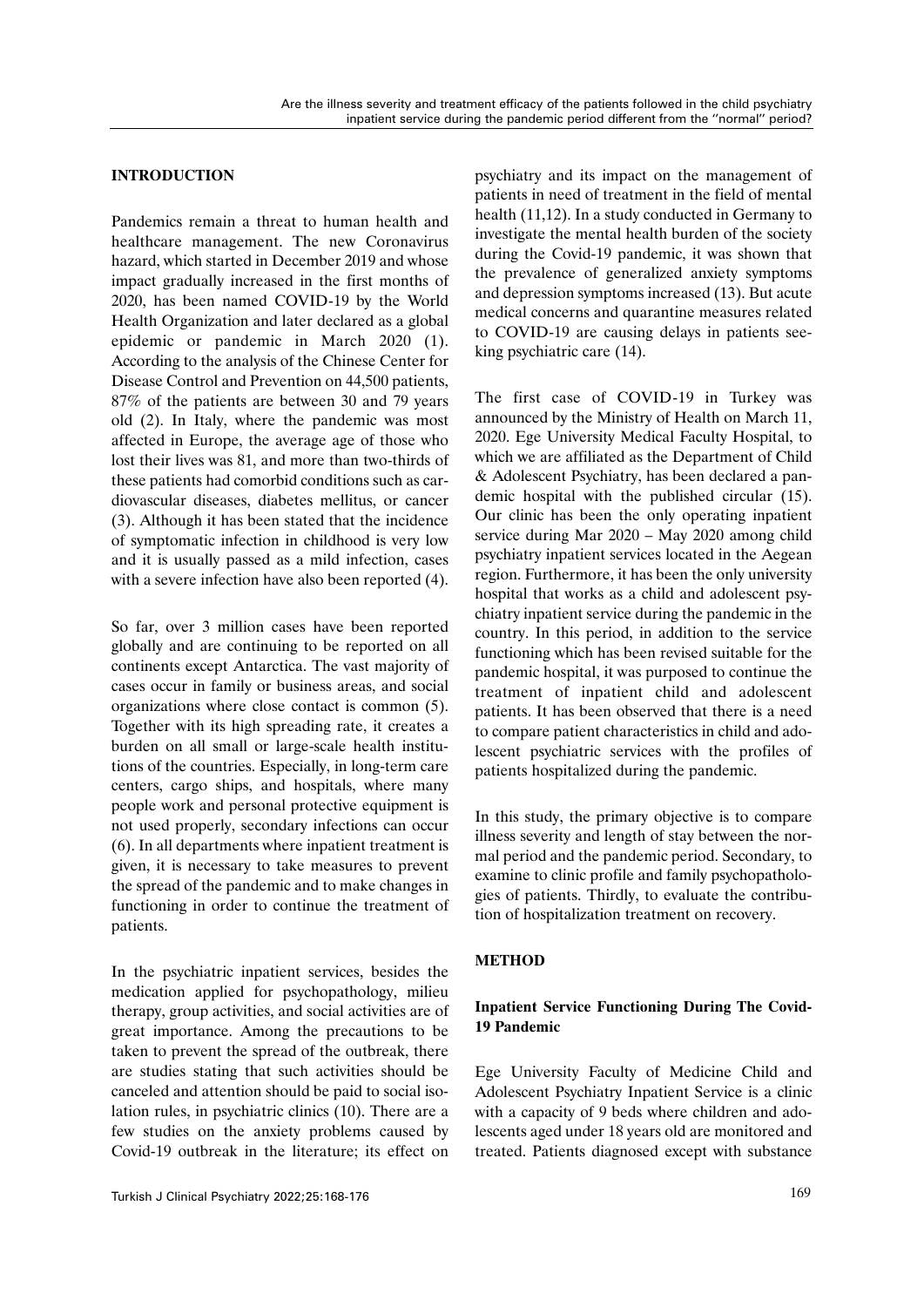## **INTRODUCTION**

Pandemics remain a threat to human health and healthcare management. The new Coronavirus hazard, which started in December 2019 and whose impact gradually increased in the first months of 2020, has been named COVID-19 by the World Health Organization and later declared as a global epidemic or pandemic in March 2020 (1). According to the analysis of the Chinese Center for Disease Control and Prevention on 44,500 patients, 87% of the patients are between 30 and 79 years old (2). In Italy, where the pandemic was most affected in Europe, the average age of those who lost their lives was 81, and more than two-thirds of these patients had comorbid conditions such as cardiovascular diseases, diabetes mellitus, or cancer (3). Although it has been stated that the incidence of symptomatic infection in childhood is very low and it is usually passed as a mild infection, cases with a severe infection have also been reported (4).

So far, over 3 million cases have been reported globally and are continuing to be reported on all continents except Antarctica. The vast majority of cases occur in family or business areas, and social organizations where close contact is common (5). Together with its high spreading rate, it creates a burden on all small or large-scale health institutions of the countries. Especially, in long-term care centers, cargo ships, and hospitals, where many people work and personal protective equipment is not used properly, secondary infections can occur (6). In all departments where inpatient treatment is given, it is necessary to take measures to prevent the spread of the pandemic and to make changes in functioning in order to continue the treatment of patients.

In the psychiatric inpatient services, besides the medication applied for psychopathology, milieu therapy, group activities, and social activities are of great importance. Among the precautions to be taken to prevent the spread of the outbreak, there are studies stating that such activities should be canceled and attention should be paid to social isolation rules, in psychiatric clinics (10). There are a few studies on the anxiety problems caused by Covid-19 outbreak in the literature; its effect on

psychiatry and its impact on the management of patients in need of treatment in the field of mental health (11,12). In a study conducted in Germany to investigate the mental health burden of the society during the Covid-19 pandemic, it was shown that the prevalence of generalized anxiety symptoms and depression symptoms increased (13). But acute medical concerns and quarantine measures related to COVID-19 are causing delays in patients seeking psychiatric care (14).

The first case of COVID-19 in Turkey was announced by the Ministry of Health on March 11, 2020. Ege University Medical Faculty Hospital, to which we are affiliated as the Department of Child & Adolescent Psychiatry, has been declared a pandemic hospital with the published circular (15). Our clinic has been the only operating inpatient service during Mar 2020 – May 2020 among child psychiatry inpatient services located in the Aegean region. Furthermore, it has been the only university hospital that works as a child and adolescent psychiatry inpatient service during the pandemic in the country. In this period, in addition to the service functioning which has been revised suitable for the pandemic hospital, it was purposed to continue the treatment of inpatient child and adolescent patients. It has been observed that there is a need to compare patient characteristics in child and adolescent psychiatric services with the profiles of patients hospitalized during the pandemic.

In this study, the primary objective is to compare illness severity and length of stay between the normal period and the pandemic period. Secondary, to examine to clinic profile and family psychopathologies of patients. Thirdly, to evaluate the contribution of hospitalization treatment on recovery.

## **METHOD**

## **Inpatient Service Functioning During The Covid-19 Pandemic**

Ege University Faculty of Medicine Child and Adolescent Psychiatry Inpatient Service is a clinic with a capacity of 9 beds where children and adolescents aged under 18 years old are monitored and treated. Patients diagnosed except with substance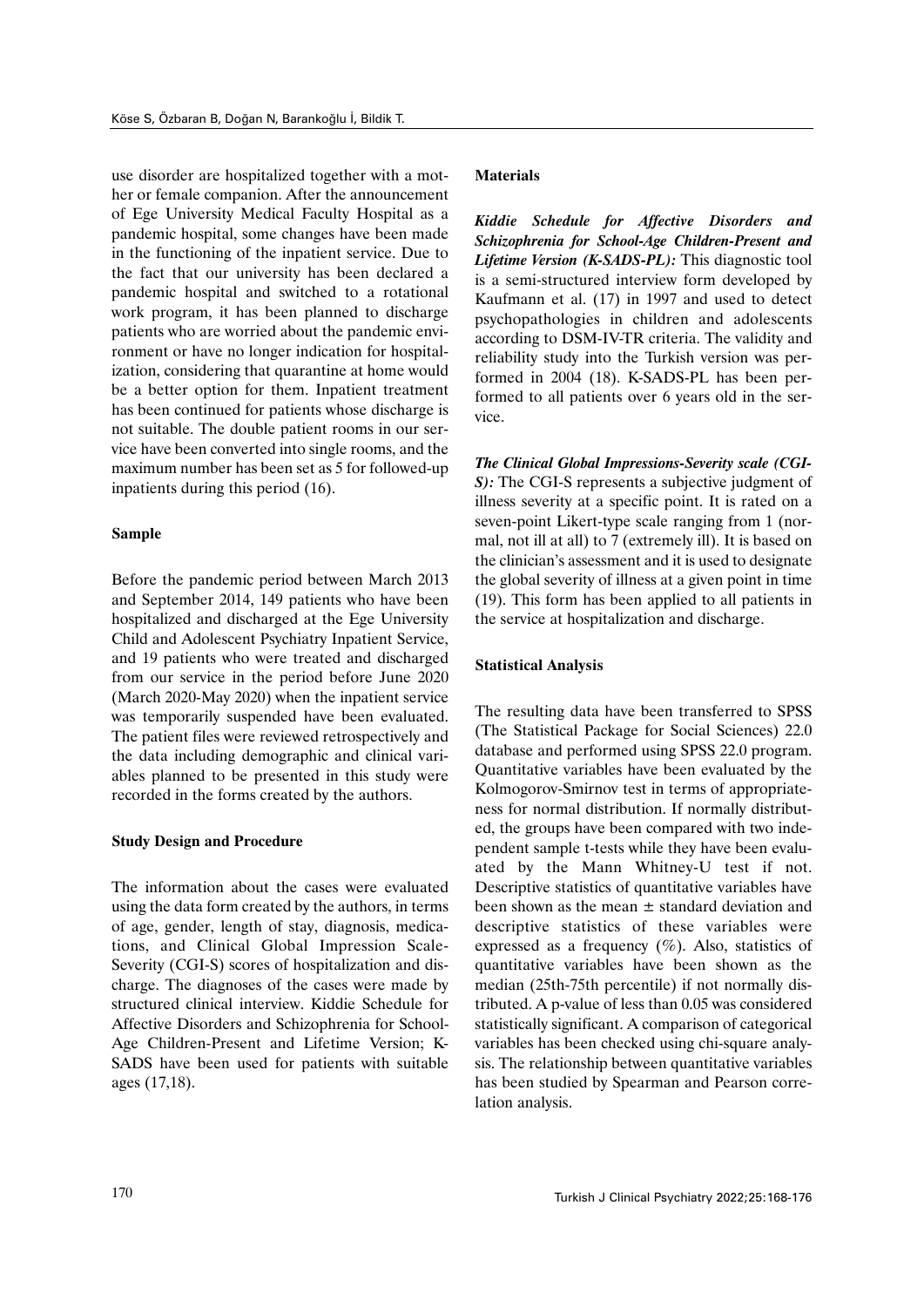use disorder are hospitalized together with a mother or female companion. After the announcement of Ege University Medical Faculty Hospital as a pandemic hospital, some changes have been made in the functioning of the inpatient service. Due to the fact that our university has been declared a pandemic hospital and switched to a rotational work program, it has been planned to discharge patients who are worried about the pandemic environment or have no longer indication for hospitalization, considering that quarantine at home would be a better option for them. Inpatient treatment has been continued for patients whose discharge is not suitable. The double patient rooms in our service have been converted into single rooms, and the maximum number has been set as 5 for followed-up inpatients during this period (16).

### **Sample**

Before the pandemic period between March 2013 and September 2014, 149 patients who have been hospitalized and discharged at the Ege University Child and Adolescent Psychiatry Inpatient Service, and 19 patients who were treated and discharged from our service in the period before June 2020 (March 2020-May 2020) when the inpatient service was temporarily suspended have been evaluated. The patient files were reviewed retrospectively and the data including demographic and clinical variables planned to be presented in this study were recorded in the forms created by the authors.

## **Study Design and Procedure**

The information about the cases were evaluated using the data form created by the authors, in terms of age, gender, length of stay, diagnosis, medications, and Clinical Global Impression Scale-Severity (CGI-S) scores of hospitalization and discharge. The diagnoses of the cases were made by structured clinical interview. Kiddie Schedule for Affective Disorders and Schizophrenia for School-Age Children-Present and Lifetime Version; K-SADS have been used for patients with suitable ages (17,18).

#### **Materials**

*Kiddie Schedule for Affective Disorders and Schizophrenia for School-Age Children-Present and Lifetime Version (K-SADS-PL):* This diagnostic tool is a semi-structured interview form developed by Kaufmann et al. (17) in 1997 and used to detect psychopathologies in children and adolescents according to DSM-IV-TR criteria. The validity and reliability study into the Turkish version was performed in 2004 (18). K-SADS-PL has been performed to all patients over 6 years old in the service.

*The Clinical Global Impressions-Severity scale (CGI-S):* The CGI-S represents a subjective judgment of illness severity at a specific point. It is rated on a seven-point Likert-type scale ranging from 1 (normal, not ill at all) to 7 (extremely ill). It is based on the clinician's assessment and it is used to designate the global severity of illness at a given point in time (19). This form has been applied to all patients in the service at hospitalization and discharge.

#### **Statistical Analysis**

The resulting data have been transferred to SPSS (The Statistical Package for Social Sciences) 22.0 database and performed using SPSS 22.0 program. Quantitative variables have been evaluated by the Kolmogorov-Smirnov test in terms of appropriateness for normal distribution. If normally distributed, the groups have been compared with two independent sample t-tests while they have been evaluated by the Mann Whitney-U test if not. Descriptive statistics of quantitative variables have been shown as the mean  $\pm$  standard deviation and descriptive statistics of these variables were expressed as a frequency  $(\%)$ . Also, statistics of quantitative variables have been shown as the median (25th-75th percentile) if not normally distributed. A p-value of less than 0.05 was considered statistically significant. A comparison of categorical variables has been checked using chi-square analysis. The relationship between quantitative variables has been studied by Spearman and Pearson correlation analysis.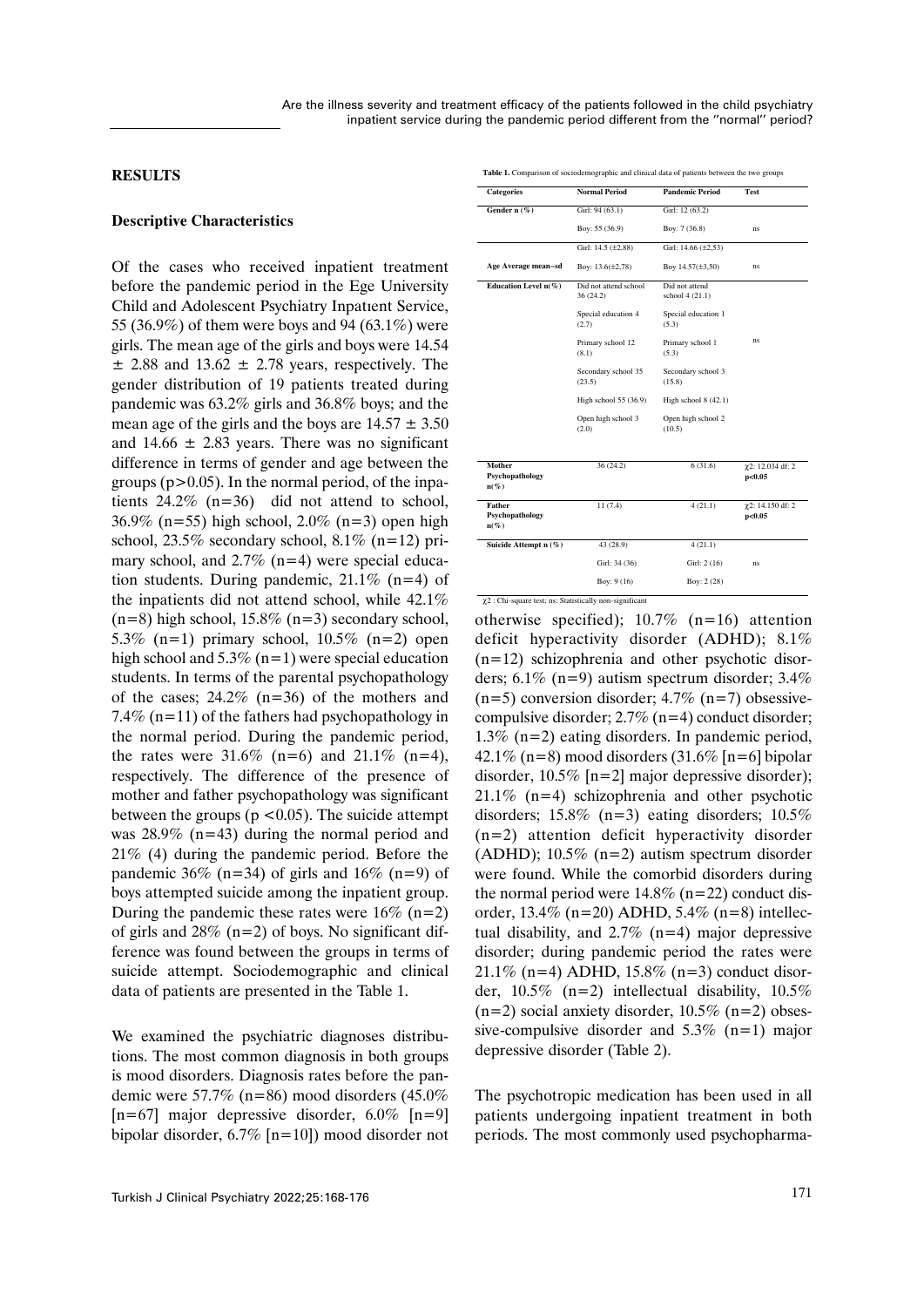#### **RESULTS**

#### **Descriptive Characteristics**

Of the cases who received inpatient treatment before the pandemic period in the Ege University Child and Adolescent Psychiatry Inpatıent Service, 55 (36.9%) of them were boys and 94 (63.1%) were girls. The mean age of the girls and boys were 14.54  $\pm$  2.88 and 13.62  $\pm$  2.78 years, respectively. The gender distribution of 19 patients treated during pandemic was 63.2% girls and 36.8% boys; and the mean age of the girls and the boys are  $14.57 \pm 3.50$ and  $14.66 \pm 2.83$  years. There was no significant difference in terms of gender and age between the groups  $(p>0.05)$ . In the normal period, of the inpatients 24.2% (n=36) did not attend to school, 36.9% (n=55) high school, 2.0% (n=3) open high school,  $23.5\%$  secondary school,  $8.1\%$  (n=12) primary school, and 2.7% (n=4) were special education students. During pandemic,  $21.1\%$  (n=4) of the inpatients did not attend school, while 42.1%  $(n=8)$  high school, 15.8%  $(n=3)$  secondary school, 5.3% (n=1) primary school,  $10.5\%$  (n=2) open high school and  $5.3\%$  (n=1) were special education students. In terms of the parental psychopathology of the cases;  $24.2\%$  (n=36) of the mothers and 7.4% (n=11) of the fathers had psychopathology in the normal period. During the pandemic period, the rates were  $31.6\%$  (n=6) and  $21.1\%$  (n=4), respectively. The difference of the presence of mother and father psychopathology was significant between the groups ( $p < 0.05$ ). The suicide attempt was 28.9% (n=43) during the normal period and 21% (4) during the pandemic period. Before the pandemic 36% (n=34) of girls and 16% (n=9) of boys attempted suicide among the inpatient group. During the pandemic these rates were  $16\%$  (n=2) of girls and  $28\%$  (n=2) of boys. No significant difference was found between the groups in terms of suicide attempt. Sociodemographic and clinical data of patients are presented in the Table 1.

We examined the psychiatric diagnoses distributions. The most common diagnosis in both groups is mood disorders. Diagnosis rates before the pandemic were 57.7% (n=86) mood disorders (45.0%  $[n=67]$  major depressive disorder, 6.0%  $[n=9]$ bipolar disorder, 6.7% [n=10]) mood disorder not Table 1. Comparison of sociodemographic and clinical data of patients between the two groups

| <b>Categories</b>                           | <b>Normal Period</b>              | <b>Pandemic Period</b>            | <b>Test</b>                        |  |
|---------------------------------------------|-----------------------------------|-----------------------------------|------------------------------------|--|
| Gender n (%)                                | Girl: 94 (63.1)                   | Girl: 12 (63.2)                   |                                    |  |
|                                             | Boy: 55 (36.9)                    | Boy: 7 (36.8)                     | <b>ns</b>                          |  |
|                                             | Girl: 14.5 (±2,88)                | Girl: 14.66 (±2,53)               |                                    |  |
| Age Average mean-sd                         | Boy: 13.6(±2,78)                  | Boy 14.57(±3,50)                  | ns                                 |  |
| Education Level $n(\%)$                     | Did not attend school<br>36(24.2) | Did not attend<br>school 4 (21.1) |                                    |  |
|                                             | Special education 4<br>(2.7)      | Special education 1<br>(5.3)      |                                    |  |
|                                             | Primary school 12<br>(8.1)        | Primary school 1<br>(5.3)         | <b>ns</b>                          |  |
|                                             | Secondary school 35<br>(23.5)     | Secondary school 3<br>(15.8)      |                                    |  |
|                                             | High school 55 (36.9)             | High school $8(42.1)$             |                                    |  |
|                                             | Open high school 3<br>(2.0)       | Open high school 2<br>(10.5)      |                                    |  |
| Mother                                      |                                   |                                   |                                    |  |
| Psychopathology<br>$n(\%)$                  | 36 (24.2)                         | 6(31.6)                           | χ2: 12.034 df: 2<br>p<0.05         |  |
| <b>Father</b><br>Psychopathology<br>$n(\%)$ | 11(7.4)                           | 4(21.1)                           | $\gamma$ 2: 14.150 df: 2<br>p<0.05 |  |
| Suicide Attempt n (%)                       | 43 (28.9)                         | 4(21.1)                           |                                    |  |
|                                             | Girl: 34 (36)                     | Girl: 2 (16)                      | <b>ns</b>                          |  |
|                                             | Boy: $9(16)$                      | Boy: 2 (28)                       |                                    |  |

otherwise specified);  $10.7\%$  (n=16) attention deficit hyperactivity disorder (ADHD); 8.1% (n=12) schizophrenia and other psychotic disorders; 6.1% (n=9) autism spectrum disorder; 3.4%  $(n=5)$  conversion disorder; 4.7%  $(n=7)$  obsessivecompulsive disorder; 2.7% (n=4) conduct disorder; 1.3% (n=2) eating disorders. In pandemic period, 42.1% (n=8) mood disorders  $(31.6\%$  [n=6] bipolar disorder, 10.5% [n=2] major depressive disorder); 21.1% (n=4) schizophrenia and other psychotic disorders; 15.8% (n=3) eating disorders; 10.5% (n=2) attention deficit hyperactivity disorder (ADHD); 10.5% (n=2) autism spectrum disorder were found. While the comorbid disorders during the normal period were  $14.8\%$  (n=22) conduct disorder,  $13.4\%$  (n=20) ADHD,  $5.4\%$  (n=8) intellectual disability, and  $2.7\%$  (n=4) major depressive disorder; during pandemic period the rates were 21.1% (n=4) ADHD, 15.8% (n=3) conduct disorder, 10.5% (n=2) intellectual disability, 10.5%  $(n=2)$  social anxiety disorder, 10.5%  $(n=2)$  obsessive-compulsive disorder and  $5.3\%$  (n=1) major depressive disorder (Table 2).

The psychotropic medication has been used in all patients undergoing inpatient treatment in both periods. The most commonly used psychopharma-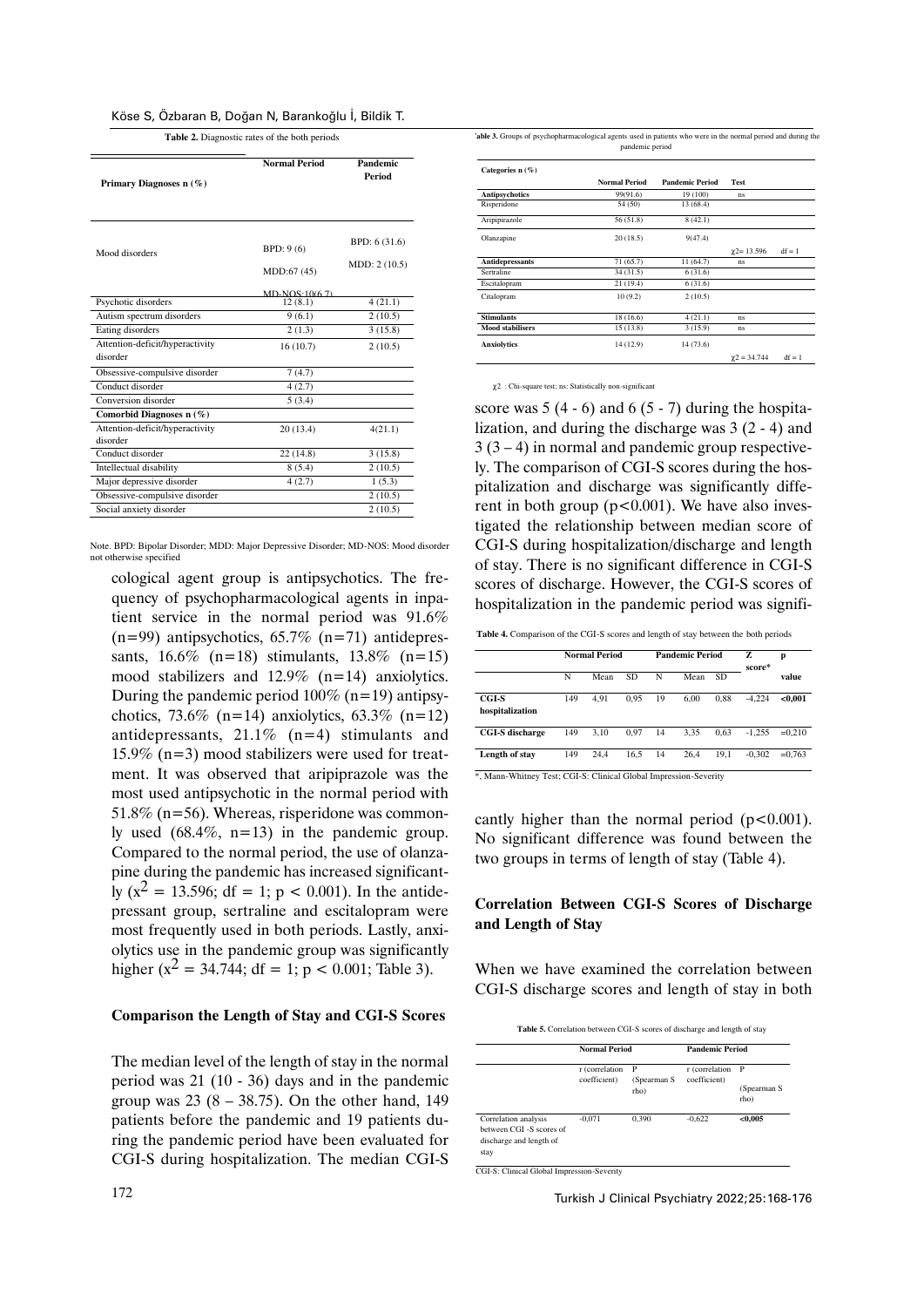|  |  | Köse S, Ozbaran B, Doğan N, Barankoğlu I, Bildik T. |  |  |
|--|--|-----------------------------------------------------|--|--|
|  |  |                                                     |  |  |
|  |  |                                                     |  |  |

**Table 2.** Diagnostic rates of the both periods

| Primary Diagnoses $n(\%)$                   | <b>Normal Period</b> | Pandemic<br>Period |  |
|---------------------------------------------|----------------------|--------------------|--|
| Mood disorders                              | BPD: 9(6)            | BPD: 6 (31.6)      |  |
|                                             | MDD:67 (45)          | MDD: 2 (10.5)      |  |
|                                             | $MD-NOS-10(67)$      |                    |  |
| Psychotic disorders                         | 12(8.1)              | 4(21.1)            |  |
| Autism spectrum disorders                   | 9(6.1)               | 2(10.5)            |  |
| Eating disorders                            | 2(1.3)               | 3(15.8)            |  |
| Attention-deficit/hyperactivity<br>disorder | 16(10.7)             | 2(10.5)            |  |
| Obsessive-compulsive disorder               | 7(4.7)               |                    |  |
| Conduct disorder                            | 4(2.7)               |                    |  |
| Conversion disorder                         | 5(3.4)               |                    |  |
| Comorbid Diagnoses n (%)                    |                      |                    |  |
| Attention-deficit/hyperactivity<br>disorder | 20(13.4)             | 4(21.1)            |  |
| Conduct disorder                            | 22(14.8)             | 3(15.8)            |  |
| Intellectual disability                     | 8(5.4)               | 2(10.5)            |  |
| Major depressive disorder                   | 4(2.7)               | 1(5.3)             |  |
| Obsessive-compulsive disorder               |                      | 2(10.5)            |  |
| Social anxiety disorder                     |                      | 2(10.5)            |  |

Note. BPD: Bipolar Disorder; MDD: Major Depressive Disorder; MD-NOS: Mood disorder not otherwise specified

cological agent group is antipsychotics. The frequency of psychopharmacological agents in inpatient service in the normal period was 91.6%  $(n=99)$  antipsychotics,  $65.7\%$   $(n=71)$  antidepressants,  $16.6\%$  (n=18) stimulants,  $13.8\%$  (n=15) mood stabilizers and 12.9% (n=14) anxiolytics. During the pandemic period  $100\%$  (n=19) antipsychotics, 73.6% (n=14) anxiolytics, 63.3% (n=12) antidepressants,  $21.1\%$  (n=4) stimulants and 15.9% (n=3) mood stabilizers were used for treatment. It was observed that aripiprazole was the most used antipsychotic in the normal period with 51.8% (n=56). Whereas, risperidone was commonly used  $(68.4\%, n=13)$  in the pandemic group. Compared to the normal period, the use of olanzapine during the pandemic has increased significantly ( $x^2 = 13.596$ ; df = 1; p < 0.001). In the antidepressant group, sertraline and escitalopram were most frequently used in both periods. Lastly, anxiolytics use in the pandemic group was significantly higher ( $x^2 = 34.744$ ; df = 1; p < 0.001; Table 3).

## **Comparison the Length of Stay and CGI-S Scores**

The median level of the length of stay in the normal period was 21 (10 - 36) days and in the pandemic group was  $23(8 - 38.75)$ . On the other hand, 149 patients before the pandemic and 19 patients during the pandemic period have been evaluated for CGI-S during hospitalization. The median CGI-S

| l'able 3. Groups of psychopharmacological agents used in patients who were in the normal period and during the |
|----------------------------------------------------------------------------------------------------------------|
| pandemic period                                                                                                |

| Categories $n(\%)$      |                      |                        |                     |          |
|-------------------------|----------------------|------------------------|---------------------|----------|
|                         | <b>Normal Period</b> | <b>Pandemic Period</b> | <b>Test</b>         |          |
| <b>Antipsychotics</b>   | 99(91.6)             | 19 (100)               | ns                  |          |
| Risperidone             | 54 (50)              | 13 (68.4)              |                     |          |
| Aripipirazole           | 56 (51.8)            | 8(42.1)                |                     |          |
| Olanzapine              | 20(18.5)             | 9(47.4)                |                     |          |
|                         |                      |                        | $\chi$ 2= 13.596    | $df = 1$ |
| <b>Antidepressants</b>  | 71(65.7)             | 11 (64.7)              | ns                  |          |
| <b>Sertraline</b>       | 34(31.5)             | 6(31.6)                |                     |          |
| Escitalopram            | 21 (19.4)            | 6(31.6)                |                     |          |
| Citalopram              | 10(9.2)              | 2(10.5)                |                     |          |
| <b>Stimulants</b>       | 18 (16.6)            | 4(21.1)                | ns                  |          |
| <b>Mood stabilisers</b> | 15(13.8)             | 3(15.9)                | ns                  |          |
| <b>Anxiolytics</b>      | 14 (12.9)            | 14 (73.6)              |                     |          |
|                         |                      |                        | $\gamma$ 2 = 34.744 | $df = 1$ |

χ2 : Chi-square test; ns: Statistically non-significant

score was  $5(4-6)$  and  $6(5-7)$  during the hospitalization, and during the discharge was 3 (2 - 4) and  $3(3-4)$  in normal and pandemic group respectively. The comparison of CGI-S scores during the hospitalization and discharge was significantly different in both group  $(p<0.001)$ . We have also investigated the relationship between median score of CGI-S during hospitalization/discharge and length of stay. There is no significant difference in CGI-S scores of discharge. However, the CGI-S scores of hospitalization in the pandemic period was signifi-

**Table 4.** Comparison of the CGI-S scores and length of stay between the both periods

|                                 |     | <b>Normal Period</b> |           | <b>Pandemic Period</b> |      |      | Z<br>score* | p        |
|---------------------------------|-----|----------------------|-----------|------------------------|------|------|-------------|----------|
|                                 | N   | Mean                 | <b>SD</b> | N                      | Mean | SD.  |             | value    |
| <b>CGI-S</b><br>hospitalization | 149 | 4.91                 | 0.95      | 19                     | 6.00 | 0.88 | $-4.224$    | < 0.001  |
| <b>CGI-S</b> discharge          | 149 | 3.10                 | 0.97      | 14                     | 3.35 | 0.63 | $-1.255$    | $=0.210$ |
| Length of stay                  | 149 | 24.4                 | 16.5      | 14                     | 26.4 | 19.1 | $-0.302$    | $=0.763$ |

cantly higher than the normal period  $(p<0.001)$ . No significant difference was found between the

two groups in terms of length of stay (Table 4).

# **Correlation Between CGI-S Scores of Discharge and Length of Stay**

When we have examined the correlation between CGI-S discharge scores and length of stay in both

| Table 5. Correlation between CGI-S scores of discharge and length of stay |  |
|---------------------------------------------------------------------------|--|
|---------------------------------------------------------------------------|--|

|                                                                                    | <b>Normal Period</b>           |                          | <b>Pandemic Period</b>         |                                     |
|------------------------------------------------------------------------------------|--------------------------------|--------------------------|--------------------------------|-------------------------------------|
|                                                                                    | r (correlation<br>coefficient) | P<br>(Spearman S<br>rho) | r (correlation<br>coefficient) | $\mathbf{P}$<br>(Spearman S<br>rho) |
| Correlation analysis<br>between CGI-S scores of<br>discharge and length of<br>stay | $-0.071$                       | 0.390                    | $-0.622$                       | < 0.005                             |

CGI-S: Clinical Global Impression-Severity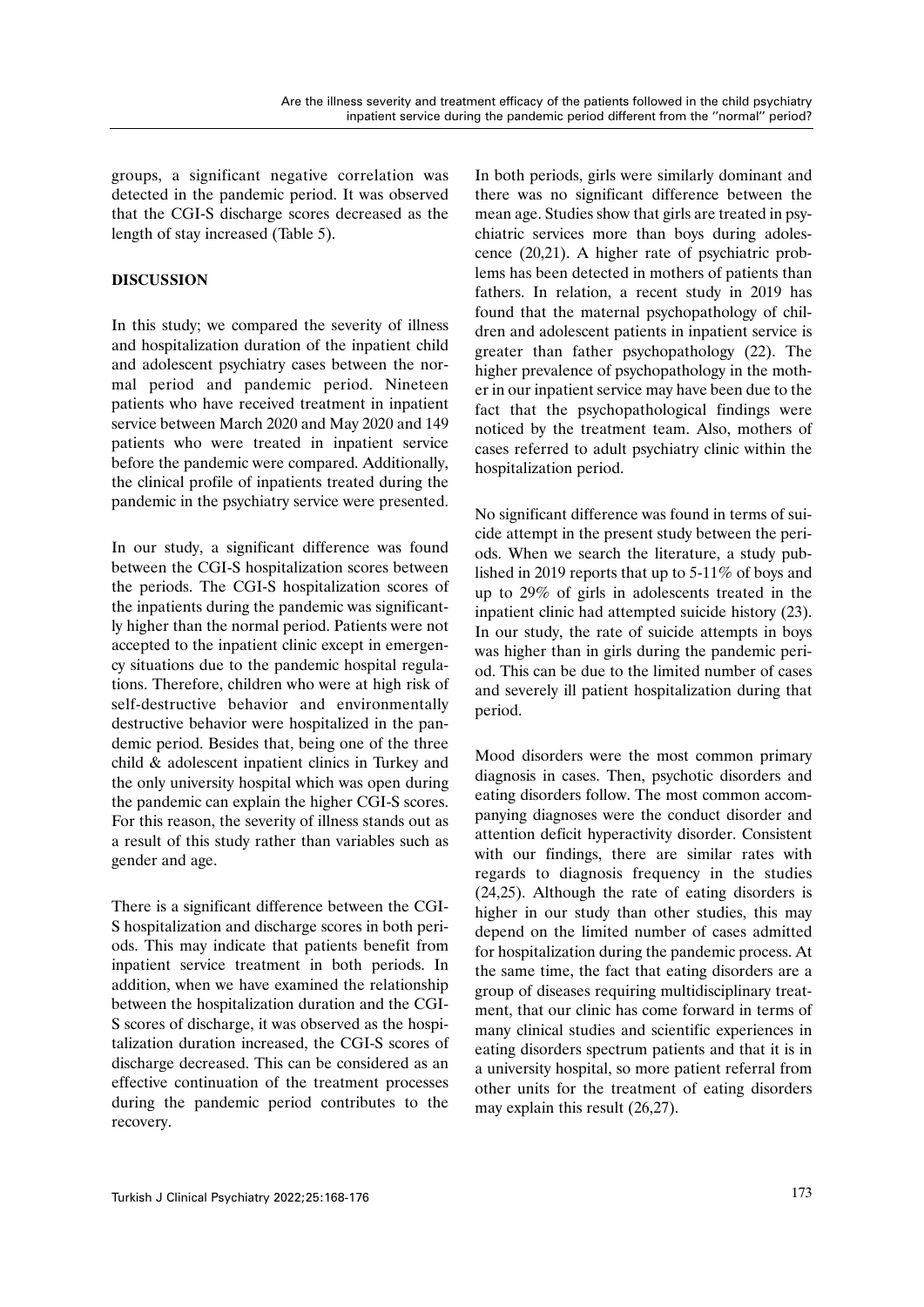groups, a significant negative correlation was detected in the pandemic period. It was observed that the CGI-S discharge scores decreased as the length of stay increased (Table 5).

# **DISCUSSION**

In this study; we compared the severity of illness and hospitalization duration of the inpatient child and adolescent psychiatry cases between the normal period and pandemic period. Nineteen patients who have received treatment in inpatient service between March 2020 and May 2020 and 149 patients who were treated in inpatient service before the pandemic were compared. Additionally, the clinical profile of inpatients treated during the pandemic in the psychiatry service were presented.

In our study, a significant difference was found between the CGI-S hospitalization scores between the periods. The CGI-S hospitalization scores of the inpatients during the pandemic was significantly higher than the normal period. Patients were not accepted to the inpatient clinic except in emergency situations due to the pandemic hospital regulations. Therefore, children who were at high risk of self-destructive behavior and environmentally destructive behavior were hospitalized in the pandemic period. Besides that, being one of the three child & adolescent inpatient clinics in Turkey and the only university hospital which was open during the pandemic can explain the higher CGI-S scores. For this reason, the severity of illness stands out as a result of this study rather than variables such as gender and age.

There is a significant difference between the CGI-S hospitalization and discharge scores in both periods. This may indicate that patients benefit from inpatient service treatment in both periods. In addition, when we have examined the relationship between the hospitalization duration and the CGI-S scores of discharge, it was observed as the hospitalization duration increased, the CGI-S scores of discharge decreased. This can be considered as an effective continuation of the treatment processes during the pandemic period contributes to the recovery.

In both periods, girls were similarly dominant and there was no significant difference between the mean age. Studies show that girls are treated in psychiatric services more than boys during adolescence (20,21). A higher rate of psychiatric problems has been detected in mothers of patients than fathers. In relation, a recent study in 2019 has found that the maternal psychopathology of children and adolescent patients in inpatient service is greater than father psychopathology (22). The higher prevalence of psychopathology in the mother in our inpatient service may have been due to the fact that the psychopathological findings were noticed by the treatment team. Also, mothers of cases referred to adult psychiatry clinic within the hospitalization period.

No significant difference was found in terms of suicide attempt in the present study between the periods. When we search the literature, a study published in 2019 reports that up to 5-11% of boys and up to 29% of girls in adolescents treated in the inpatient clinic had attempted suicide history (23). In our study, the rate of suicide attempts in boys was higher than in girls during the pandemic period. This can be due to the limited number of cases and severely ill patient hospitalization during that period.

Mood disorders were the most common primary diagnosis in cases. Then, psychotic disorders and eating disorders follow. The most common accompanying diagnoses were the conduct disorder and attention deficit hyperactivity disorder. Consistent with our findings, there are similar rates with regards to diagnosis frequency in the studies (24,25). Although the rate of eating disorders is higher in our study than other studies, this may depend on the limited number of cases admitted for hospitalization during the pandemic process. At the same time, the fact that eating disorders are a group of diseases requiring multidisciplinary treatment, that our clinic has come forward in terms of many clinical studies and scientific experiences in eating disorders spectrum patients and that it is in a university hospital, so more patient referral from other units for the treatment of eating disorders may explain this result (26,27).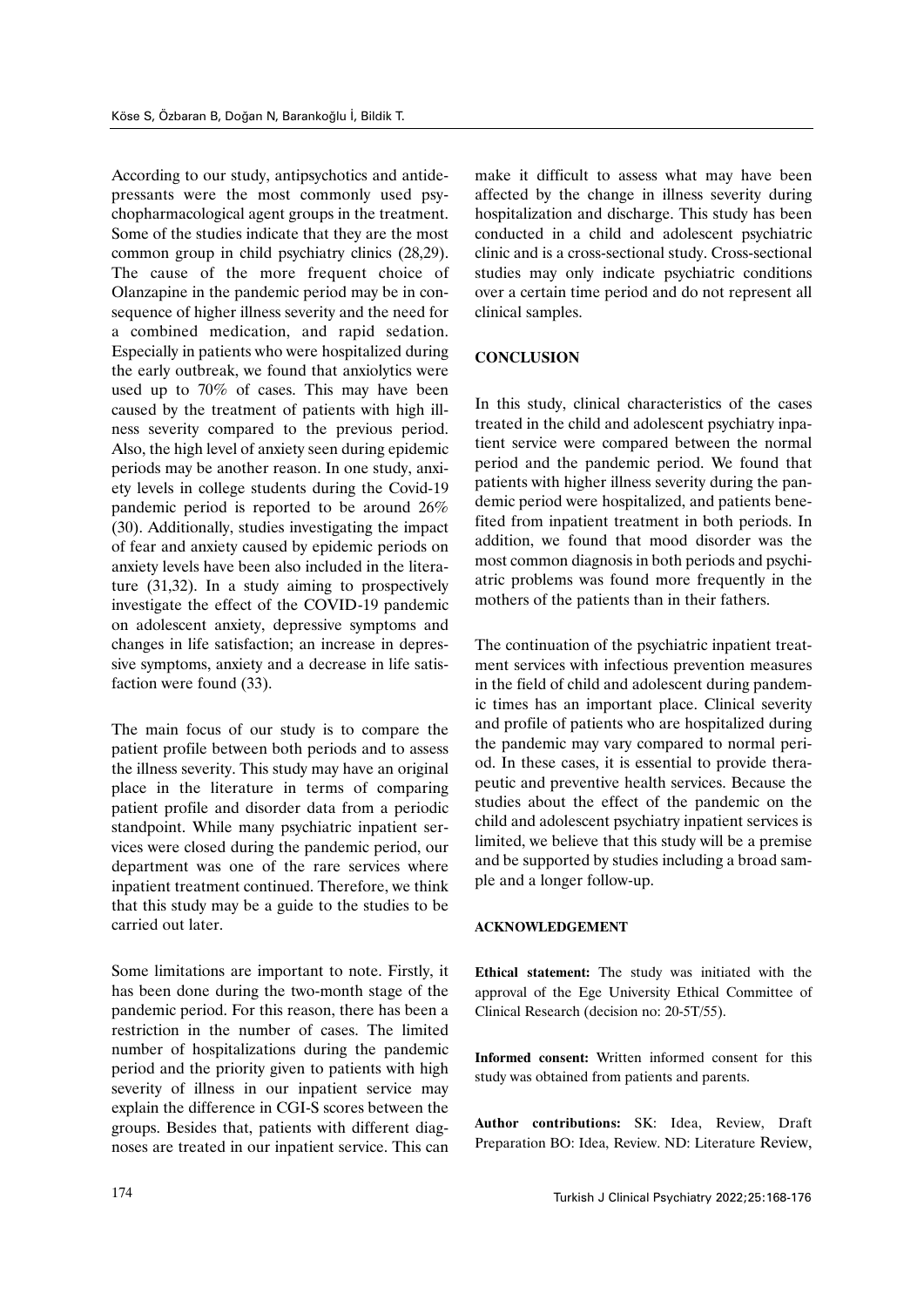According to our study, antipsychotics and antidepressants were the most commonly used psychopharmacological agent groups in the treatment. Some of the studies indicate that they are the most common group in child psychiatry clinics (28,29). The cause of the more frequent choice of Olanzapine in the pandemic period may be in consequence of higher illness severity and the need for a combined medication, and rapid sedation. Especially in patients who were hospitalized during the early outbreak, we found that anxiolytics were used up to 70% of cases. This may have been caused by the treatment of patients with high illness severity compared to the previous period. Also, the high level of anxiety seen during epidemic periods may be another reason. In one study, anxiety levels in college students during the Covid-19 pandemic period is reported to be around 26% (30). Additionally, studies investigating the impact of fear and anxiety caused by epidemic periods on anxiety levels have been also included in the literature (31,32). In a study aiming to prospectively investigate the effect of the COVID-19 pandemic on adolescent anxiety, depressive symptoms and changes in life satisfaction; an increase in depressive symptoms, anxiety and a decrease in life satisfaction were found (33).

The main focus of our study is to compare the patient profile between both periods and to assess the illness severity. This study may have an original place in the literature in terms of comparing patient profile and disorder data from a periodic standpoint. While many psychiatric inpatient services were closed during the pandemic period, our department was one of the rare services where inpatient treatment continued. Therefore, we think that this study may be a guide to the studies to be carried out later.

Some limitations are important to note. Firstly, it has been done during the two-month stage of the pandemic period. For this reason, there has been a restriction in the number of cases. The limited number of hospitalizations during the pandemic period and the priority given to patients with high severity of illness in our inpatient service may explain the difference in CGI-S scores between the groups. Besides that, patients with different diagnoses are treated in our inpatient service. This can make it difficult to assess what may have been affected by the change in illness severity during hospitalization and discharge. This study has been conducted in a child and adolescent psychiatric clinic and is a cross-sectional study. Cross-sectional studies may only indicate psychiatric conditions over a certain time period and do not represent all clinical samples.

## **CONCLUSION**

In this study, clinical characteristics of the cases treated in the child and adolescent psychiatry inpatient service were compared between the normal period and the pandemic period. We found that patients with higher illness severity during the pandemic period were hospitalized, and patients benefited from inpatient treatment in both periods. In addition, we found that mood disorder was the most common diagnosis in both periods and psychiatric problems was found more frequently in the mothers of the patients than in their fathers.

The continuation of the psychiatric inpatient treatment services with infectious prevention measures in the field of child and adolescent during pandemic times has an important place. Clinical severity and profile of patients who are hospitalized during the pandemic may vary compared to normal period. In these cases, it is essential to provide therapeutic and preventive health services. Because the studies about the effect of the pandemic on the child and adolescent psychiatry inpatient services is limited, we believe that this study will be a premise and be supported by studies including a broad sample and a longer follow-up.

## **ACKNOWLEDGEMENT**

**Ethical statement:** The study was initiated with the approval of the Ege University Ethical Committee of Clinical Research (decision no: 20-5T/55).

**Informed consent:** Written informed consent for this study was obtained from patients and parents.

**Author contributions:** SK: Idea, Review, Draft Preparation BO: Idea, Review. ND: Literature Review,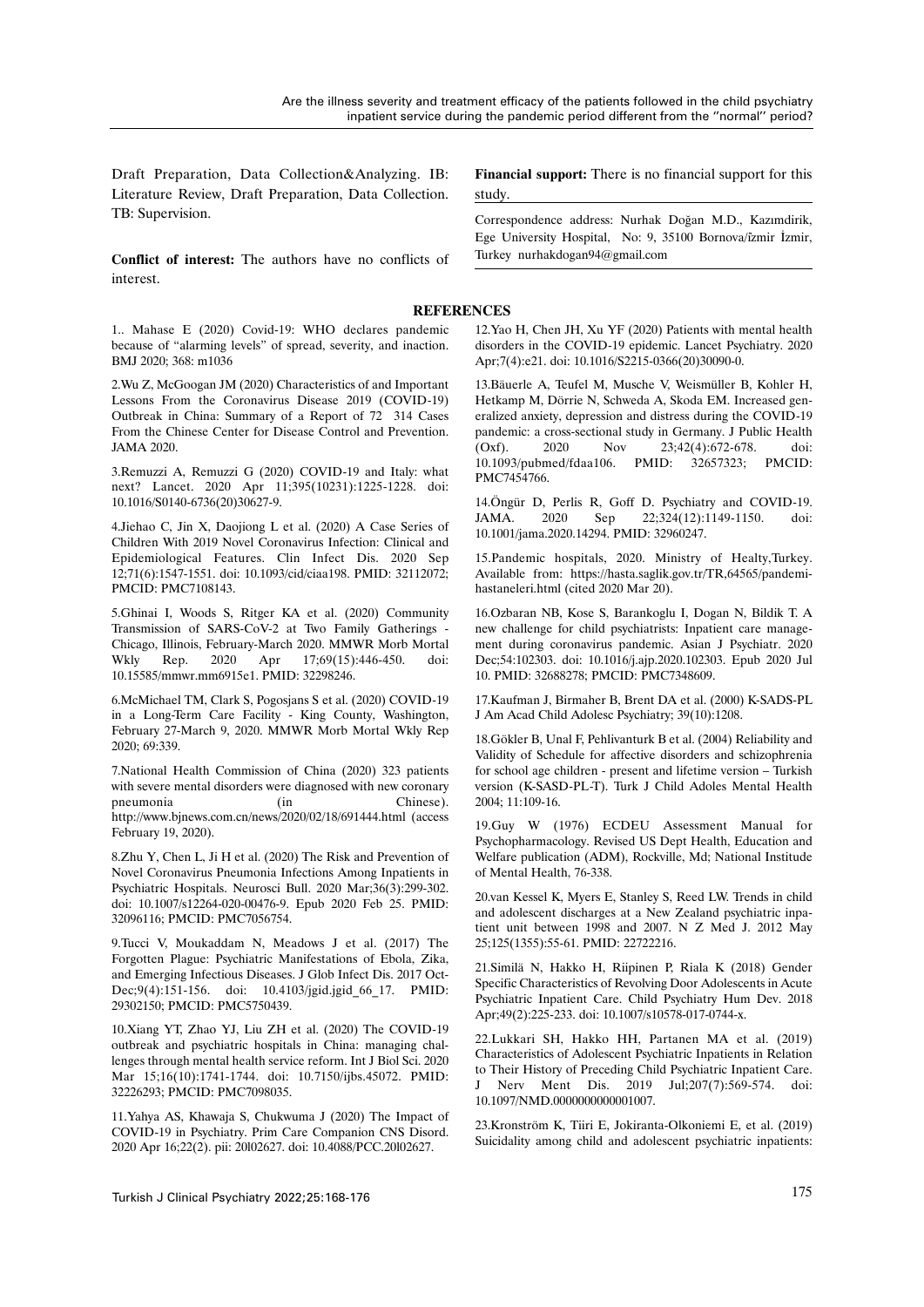Draft Preparation, Data Collection&Analyzing. IB: Literature Review, Draft Preparation, Data Collection. TB: Supervision.

**Conflict of interest:** The authors have no conflicts of interest.

1.. Mahase E (2020) Covid-19: WHO declares pandemic because of "alarming levels" of spread, severity, and inaction. BMJ 2020; 368: m1036

2.Wu Z, McGoogan JM (2020) Characteristics of and Important Lessons From the Coronavirus Disease 2019 (COVID-19) Outbreak in China: Summary of a Report of 72 314 Cases From the Chinese Center for Disease Control and Prevention. JAMA 2020.

3.Remuzzi A, Remuzzi G (2020) COVID-19 and Italy: what next? Lancet. 2020 Apr 11;395(10231):1225-1228. doi: 10.1016/S0140-6736(20)30627-9.

4.Jiehao C, Jin X, Daojiong L et al. (2020) A Case Series of Children With 2019 Novel Coronavirus Infection: Clinical and Epidemiological Features. Clin Infect Dis. 2020 Sep 12;71(6):1547-1551. doi: 10.1093/cid/ciaa198. PMID: 32112072; PMCID: PMC7108143.

5.Ghinai I, Woods S, Ritger KA et al. (2020) Community Transmission of SARS-CoV-2 at Two Family Gatherings - Chicago, Illinois, February-March 2020. MMWR Morb Mortal Wkly Rep. 2020 Apr 17;69(15):446-450. doi: 10.15585/mmwr.mm6915e1. PMID: 32298246.

6.McMichael TM, Clark S, Pogosjans S et al. (2020) COVID-19 in a Long-Term Care Facility - King County, Washington, February 27-March 9, 2020. MMWR Morb Mortal Wkly Rep 2020; 69:339.

7.National Health Commission of China (2020) 323 patients with severe mental disorders were diagnosed with new coronary pneumonia (in Chinese). http://www.bjnews.com.cn/news/2020/02/18/691444.html (access February 19, 2020).

8.Zhu Y, Chen L, Ji H et al. (2020) The Risk and Prevention of Novel Coronavirus Pneumonia Infections Among Inpatients in Psychiatric Hospitals. Neurosci Bull. 2020 Mar;36(3):299-302. doi: 10.1007/s12264-020-00476-9. Epub 2020 Feb 25. PMID: 32096116; PMCID: PMC7056754.

9.Tucci V, Moukaddam N, Meadows J et al. (2017) The Forgotten Plague: Psychiatric Manifestations of Ebola, Zika, and Emerging Infectious Diseases. J Glob Infect Dis. 2017 Oct-Dec;9(4):151-156. doi: 10.4103/jgid.jgid\_66\_17. PMID: 29302150; PMCID: PMC5750439.

10.Xiang YT, Zhao YJ, Liu ZH et al. (2020) The COVID-19 outbreak and psychiatric hospitals in China: managing challenges through mental health service reform. Int J Biol Sci. 2020 Mar 15;16(10):1741-1744. doi: 10.7150/ijbs.45072. PMID: 32226293; PMCID: PMC7098035.

11.Yahya AS, Khawaja S, Chukwuma J (2020) The Impact of COVID-19 in Psychiatry. Prim Care Companion CNS Disord. 2020 Apr 16;22(2). pii: 20l02627. doi: 10.4088/PCC.20l02627.

**Financial support:** There is no financial support for this study.

Correspondence address: Nurhak Doğan M.D., Kazımdirik, Ege University Hospital, No: 9, 35100 Bornova/i̇zmir İzmir, Turkey nurhakdogan94@gmail.com

#### **REFERENCES**

12.Yao H, Chen JH, Xu YF (2020) Patients with mental health disorders in the COVID-19 epidemic. Lancet Psychiatry. 2020 Apr;7(4):e21. doi: 10.1016/S2215-0366(20)30090-0.

13.Bäuerle A, Teufel M, Musche V, Weismüller B, Kohler H, Hetkamp M, Dörrie N, Schweda A, Skoda EM. Increased generalized anxiety, depression and distress during the COVID-19 pandemic: a cross-sectional study in Germany. J Public Health (Oxf). 2020 Nov 23;42(4):672-678. doi: 10.1093/pubmed/fdaa106. PMID: 32657323; PMCID: PMC7454766.

14.Öngür D, Perlis R, Goff D. Psychiatry and COVID-19. JAMA. 2020 Sep 22;324(12):1149-1150. doi: 10.1001/jama.2020.14294. PMID: 32960247.

15.Pandemic hospitals, 2020. Ministry of Healty,Turkey. Available from: https://hasta.saglik.gov.tr/TR,64565/pandemihastaneleri.html (cited 2020 Mar 20).

16.Ozbaran NB, Kose S, Barankoglu I, Dogan N, Bildik T. A new challenge for child psychiatrists: Inpatient care management during coronavirus pandemic. Asian J Psychiatr. 2020 Dec;54:102303. doi: 10.1016/j.ajp.2020.102303. Epub 2020 Jul 10. PMID: 32688278; PMCID: PMC7348609.

17.Kaufman J, Birmaher B, Brent DA et al. (2000) K-SADS-PL J Am Acad Child Adolesc Psychiatry; 39(10):1208.

18.Gökler B, Unal F, Pehlivanturk B et al. (2004) Reliability and Validity of Schedule for affective disorders and schizophrenia for school age children - present and lifetime version – Turkish version (K-SASD-PL-T). Turk J Child Adoles Mental Health 2004; 11:109-16.

19.Guy W (1976) ECDEU Assessment Manual for Psychopharmacology. Revised US Dept Health, Education and Welfare publication (ADM), Rockville, Md; National Institude of Mental Health, 76-338.

20.van Kessel K, Myers E, Stanley S, Reed LW. Trends in child and adolescent discharges at a New Zealand psychiatric inpatient unit between 1998 and 2007. N Z Med J. 2012 May 25;125(1355):55-61. PMID: 22722216.

21.Similä N, Hakko H, Riipinen P, Riala K (2018) Gender Specific Characteristics of Revolving Door Adolescents in Acute Psychiatric Inpatient Care. Child Psychiatry Hum Dev. 2018 Apr;49(2):225-233. doi: 10.1007/s10578-017-0744-x.

22.Lukkari SH, Hakko HH, Partanen MA et al. (2019) Characteristics of Adolescent Psychiatric Inpatients in Relation to Their History of Preceding Child Psychiatric Inpatient Care. J Nerv Ment Dis. 2019 Jul;207(7):569-574. doi: 10.1097/NMD.0000000000001007.

23.Kronström K, Tiiri E, Jokiranta-Olkoniemi E, et al. (2019) Suicidality among child and adolescent psychiatric inpatients: